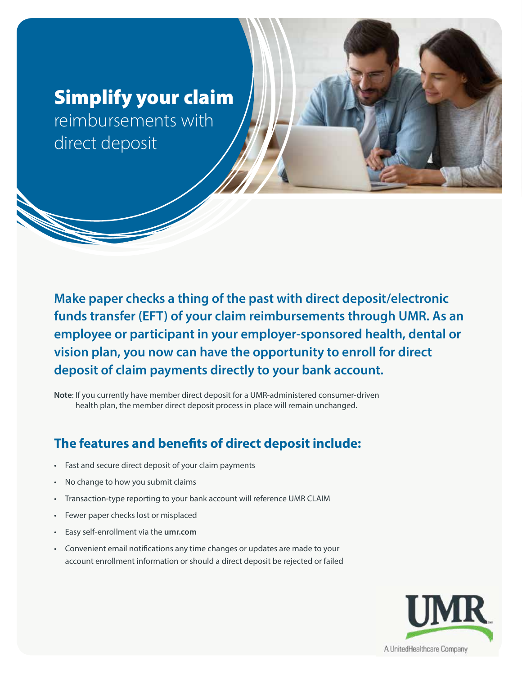# Simplify your claim

reimbursements with direct deposit

**Make paper checks a thing of the past with direct deposit/electronic funds transfer (EFT) of your claim reimbursements through UMR. As an employee or participant in your employer-sponsored health, dental or vision plan, you now can have the opportunity to enroll for direct deposit of claim payments directly to your bank account.**

**Note**: If you currently have member direct deposit for a UMR-administered consumer-driven health plan, the member direct deposit process in place will remain unchanged.

## **The features and benefits of direct deposit include:**

- Fast and secure direct deposit of your claim payments
- No change to how you submit claims
- Transaction-type reporting to your bank account will reference UMR CLAIM
- Fewer paper checks lost or misplaced
- Easy self-enrollment via the **umr.com**
- Convenient email notifications any time changes or updates are made to your account enrollment information or should a direct deposit be rejected or failed

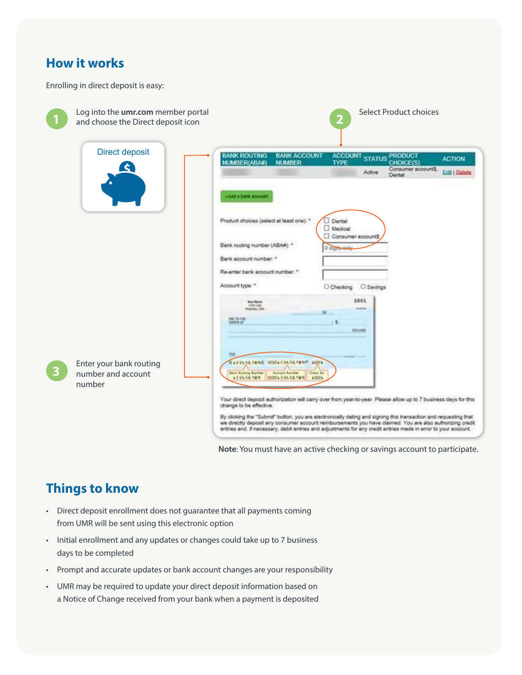#### **How it works**

Enrolling in direct deposit is easy:

|                         | Log into the umr.com member portal<br>and choose the Direct deposit icon | Select Product choices<br>2                                                                                                                                                                                                                                                                                                                                                                                                                                                                                                        |
|-------------------------|--------------------------------------------------------------------------|------------------------------------------------------------------------------------------------------------------------------------------------------------------------------------------------------------------------------------------------------------------------------------------------------------------------------------------------------------------------------------------------------------------------------------------------------------------------------------------------------------------------------------|
|                         | <b>Direct deposit</b><br><b>C</b>                                        | <b>BANK ROUTING</b><br><b>BANK ACCOUNT</b><br><b>ACCOUNT</b><br><b>PRODUCT</b><br><b>STATUS</b><br><b>ACTION</b><br>NUMBER(ABA#)<br><b>NUMBER</b><br><b>CHOICE(S)</b><br><b>TYPE</b><br>Consumer accounts,<br>Edit   Delete<br>Active<br>Dental<br>+Add a born account                                                                                                                                                                                                                                                             |
|                         |                                                                          | Product choices (select at least one): *<br>Dental<br>Medical<br>Consumer accounts<br>Bank routing number (ABAW):<br><b>Q</b> digits and<br>Bank account number. *<br>Re-enter bank account number. *<br>Account type: "<br>O Savings<br>C Checking                                                                                                                                                                                                                                                                                |
| $\overline{\mathbf{3}}$ | Enter your bank routing<br>number and account                            | 1001<br><b>North Startes</b><br><b>USE Eat.</b><br>Anatomet, UA<br><b>PAY 35 THE</b><br>atters (p)<br>801448<br><b>CLEARS TANK DOOLFIASETANY LOOL</b><br><b>Bank Roating Barrison</b><br><b>Diede Wa</b><br>Autum Number                                                                                                                                                                                                                                                                                                           |
|                         | number                                                                   | 123456789<br>1001<br>000121455789<br>Your direct deposit authorization will carry over from year-to-year. Please allow up to 7 business days for this<br>change to be effective.<br>By clicking the "Submit" button, you are electronically dating and signing this transaction and requesting that<br>we directly deposit any consumer account reimbursements you have claimed. You are also authorizing credit<br>entries and. If necessary, debit entries and adjustments for any credit entries made in error to your account. |

**Note**: You must have an active checking or savings account to participate.

### **Things to know**

- Direct deposit enrollment does not guarantee that all payments coming from UMR will be sent using this electronic option
- Initial enrollment and any updates or changes could take up to 7 business days to be completed
- Prompt and accurate updates or bank account changes are your responsibility
- UMR may be required to update your direct deposit information based on a Notice of Change received from your bank when a payment is deposited